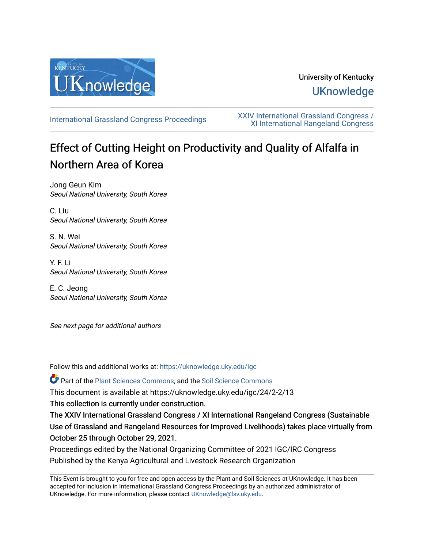

## University of Kentucky **UKnowledge**

[International Grassland Congress Proceedings](https://uknowledge.uky.edu/igc) [XXIV International Grassland Congress /](https://uknowledge.uky.edu/igc/24)  [XI International Rangeland Congress](https://uknowledge.uky.edu/igc/24) 

# Effect of Cutting Height on Productivity and Quality of Alfalfa in Northern Area of Korea

Jong Geun Kim Seoul National University, South Korea

C. Liu Seoul National University, South Korea

S. N. Wei Seoul National University, South Korea

Y. F. Li Seoul National University, South Korea

E. C. Jeong Seoul National University, South Korea

See next page for additional authors

Follow this and additional works at: [https://uknowledge.uky.edu/igc](https://uknowledge.uky.edu/igc?utm_source=uknowledge.uky.edu%2Figc%2F24%2F2-2%2F13&utm_medium=PDF&utm_campaign=PDFCoverPages) 

Part of the [Plant Sciences Commons](http://network.bepress.com/hgg/discipline/102?utm_source=uknowledge.uky.edu%2Figc%2F24%2F2-2%2F13&utm_medium=PDF&utm_campaign=PDFCoverPages), and the [Soil Science Commons](http://network.bepress.com/hgg/discipline/163?utm_source=uknowledge.uky.edu%2Figc%2F24%2F2-2%2F13&utm_medium=PDF&utm_campaign=PDFCoverPages) 

This document is available at https://uknowledge.uky.edu/igc/24/2-2/13

This collection is currently under construction.

The XXIV International Grassland Congress / XI International Rangeland Congress (Sustainable Use of Grassland and Rangeland Resources for Improved Livelihoods) takes place virtually from October 25 through October 29, 2021.

Proceedings edited by the National Organizing Committee of 2021 IGC/IRC Congress Published by the Kenya Agricultural and Livestock Research Organization

This Event is brought to you for free and open access by the Plant and Soil Sciences at UKnowledge. It has been accepted for inclusion in International Grassland Congress Proceedings by an authorized administrator of UKnowledge. For more information, please contact [UKnowledge@lsv.uky.edu](mailto:UKnowledge@lsv.uky.edu).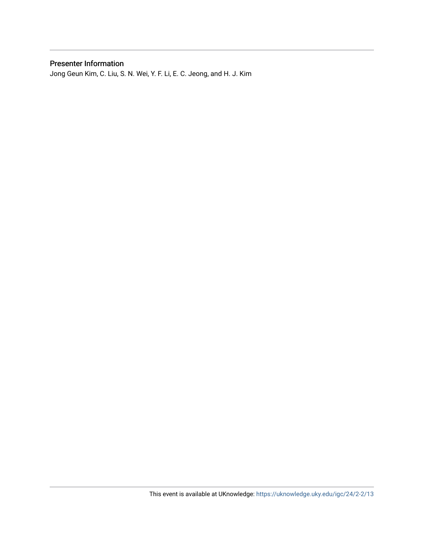## Presenter Information

Jong Geun Kim, C. Liu, S. N. Wei, Y. F. Li, E. C. Jeong, and H. J. Kim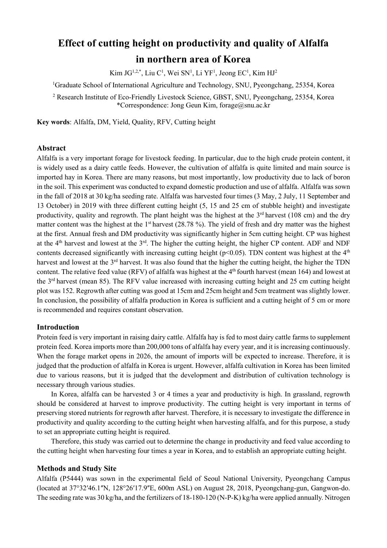## **Effect of cutting height on productivity and quality of Alfalfa in northern area of Korea**

 $\rm{Kim}$  J $\rm{G}^{1,2,*},$  Liu  $\rm{C}^1$ , Wei  $\rm{SN}^1$ , Li  $\rm{YF}^1$ , Jeong  $\rm{EC}^1$ , Kim  $\rm{H} \rm{J}^2$ 

<sup>1</sup>Graduate School of International Agriculture and Technology, SNU, Pyeongchang, 25354, Korea

<sup>2</sup> Research Institute of Eco-Friendly Livestock Science, GBST, SNU, Pyeongchang, 25354, Korea \*Correspondence: Jong Geun Kim, [forage@snu.ac.kr](mailto:forage@snu.ac.kr)

**Key words**: Alfalfa, DM, Yield, Quality, RFV, Cutting height

#### **Abstract**

Alfalfa is a very important forage for livestock feeding. In particular, due to the high crude protein content, it is widely used as a dairy cattle feeds. However, the cultivation of alfalfa is quite limited and main source is imported hay in Korea. There are many reasons, but most importantly, low productivity due to lack of boron in the soil. This experiment was conducted to expand domestic production and use of alfalfa. Alfalfa was sown in the fall of 2018 at 30 kg/ha seeding rate. Alfalfa was harvested four times (3 May, 2 July, 11 September and 13 October) in 2019 with three different cutting height (5, 15 and 25 cm of stubble height) and investigate productivity, quality and regrowth. The plant height was the highest at the  $3<sup>rd</sup>$  harvest (108 cm) and the dry matter content was the highest at the  $1<sup>st</sup>$  harvest (28.78 %). The yield of fresh and dry matter was the highest at the first. Annual fresh and DM productivity was significantly higher in 5cm cutting height. CP was highest at the 4th harvest and lowest at the 3rd. The higher the cutting height, the higher CP content. ADF and NDF contents decreased significantly with increasing cutting height ( $p$ <0.05). TDN content was highest at the  $4<sup>th</sup>$ harvest and lowest at the 3<sup>rd</sup> harvest. It was also found that the higher the cutting height, the higher the TDN content. The relative feed value (RFV) of alfalfa was highest at the  $4<sup>th</sup>$  fourth harvest (mean 164) and lowest at the 3rd harvest (mean 85). The RFV value increased with increasing cutting height and 25 cm cutting height plot was 152. Regrowth after cutting was good at 15cm and 25cm height and 5cm treatment was slightly lower. In conclusion, the possibility of alfalfa production in Korea is sufficient and a cutting height of 5 cm or more is recommended and requires constant observation.

#### **Introduction**

Protein feed is very important in raising dairy cattle. Alfalfa hay is fed to most dairy cattle farms to supplement protein feed. Korea imports more than 200,000 tons of alfalfa hay every year, and it is increasing continuously. When the forage market opens in 2026, the amount of imports will be expected to increase. Therefore, it is judged that the production of alfalfa in Korea is urgent. However, alfalfa cultivation in Korea has been limited due to various reasons, but it is judged that the development and distribution of cultivation technology is necessary through various studies.

In Korea, alfalfa can be harvested 3 or 4 times a year and productivity is high. In grassland, regrowth should be considered at harvest to improve productivity. The cutting height is very important in terms of preserving stored nutrients for regrowth after harvest. Therefore, it is necessary to investigate the difference in productivity and quality according to the cutting height when harvesting alfalfa, and for this purpose, a study to set an appropriate cutting height is required.

Therefore, this study was carried out to determine the change in productivity and feed value according to the cutting height when harvesting four times a year in Korea, and to establish an appropriate cutting height.

#### **Methods and Study Site**

Alfalfa (P5444) was sown in the experimental field of Seoul National University, Pyeongchang Campus (located at 37°32ʹ46.1ʺN, 128°26ʹ17.9ʺE, 600m ASL) on August 28, 2018, Pyeongchang-gun, Gangwon-do. The seeding rate was 30 kg/ha, and the fertilizers of 18-180-120 (N-P-K) kg/ha were applied annually. Nitrogen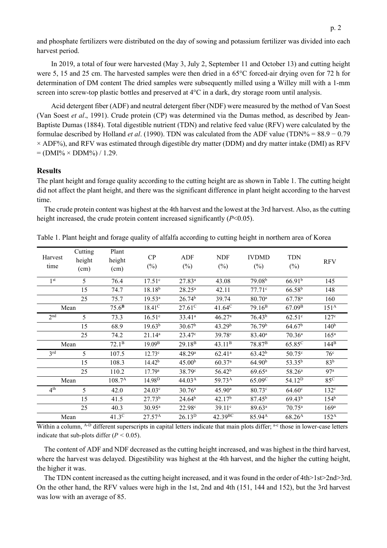p. 2

and phosphate fertilizers were distributed on the day of sowing and potassium fertilizer was divided into each harvest period.

In 2019, a total of four were harvested (May 3, July 2, September 11 and October 13) and cutting height were 5, 15 and 25 cm. The harvested samples were then dried in a 65°C forced-air drying oven for 72 h for determination of DM content The dried samples were subsequently milled using a Willey mill with a 1-mm screen into screw-top plastic bottles and preserved at 4°C in a dark, dry storage room until analysis.

Acid detergent fiber (ADF) and neutral detergent fiber (NDF) were measured by the method of Van Soest (Van Soest *et al*., 1991). Crude protein (CP) was determined via the Dumas method, as described by Jean-Baptiste Dumas (1884). Total digestible nutrient (TDN) and relative feed value (RFV) were calculated by the formulae described by Holland *et al*. (1990). TDN was calculated from the ADF value (TDN% = 88.9 − 0.79  $\times$  ADF%), and RFV was estimated through digestible dry matter (DDM) and dry matter intake (DMI) as RFV  $= (DMI\% \times DDM\%) / 1.29.$ 

### **Results**

The plant height and forage quality according to the cutting height are as shown in Table 1. The cutting height did not affect the plant height, and there was the significant difference in plant height according to the harvest time.

The crude protein content was highest at the 4th harvest and the lowest at the 3rd harvest. Also, as the cutting height increased, the crude protein content increased significantly (*P*<0.05).

| Harvest<br>time | Cutting<br>height<br>(cm) | Plant<br>height<br>(cm) | CP<br>$(\%)$       | ADF<br>$(\%)$          | <b>NDF</b><br>$(\%)$ | <b>IVDMD</b><br>$(\%)$ | <b>TDN</b><br>$(\%)$ | <b>RFV</b>         |
|-----------------|---------------------------|-------------------------|--------------------|------------------------|----------------------|------------------------|----------------------|--------------------|
| 1 <sup>st</sup> | 5                         | 76.4                    | 17.51 <sup>c</sup> | $27.83^{a}$            | 43.08                | 79.08 <sup>b</sup>     | 66.91 <sup>b</sup>   | 145                |
|                 | 15                        | 74.7                    | $18.18^{b}$        | $28.25^{\rm a}$        | 42.11                | $77.71^{\circ}$        | $66.58^{b}$          | 148                |
|                 | 25                        | 75.7                    | $19.53^{a}$        | 26.74 <sup>b</sup>     | 39.74                | $80.70^{\circ}$        | $67.78$ <sup>a</sup> | 160                |
| Mean            |                           | 75.6 <sup>B</sup>       | $18.41^{\circ}$    | $27.61^{\overline{C}}$ | $41.64^{\circ}$      | $79.16^{\rm B}$        | 67.09 <sup>B</sup>   | 151 <sup>A</sup>   |
| 2 <sup>nd</sup> | 5                         | 73.3                    | $16.51^{\circ}$    | $33.41^a$              | 46.27a               | 76.43 <sup>b</sup>     | $62.51^{\circ}$      | 127 <sup>c</sup>   |
|                 | 15                        | 68.9                    | $19.63^{b}$        | 30.67 <sup>b</sup>     | 43.29 <sup>b</sup>   | 76.79 <sup>b</sup>     | 64.67 <sup>b</sup>   | 140 <sup>b</sup>   |
|                 | 25                        | 74.2                    | $21.14^{a}$        | 23.47 <sup>c</sup>     | 39.78 <sup>c</sup>   | $83.40^{\rm a}$        | $70.36^a$            | $165^{\mathrm{a}}$ |
| Mean            |                           | $72.1^{\rm B}$          | 19.09 <sup>B</sup> | 29.18 <sup>B</sup>     | 43.11 <sup>B</sup>   | 78.87 <sup>B</sup>     | 65.85 <sup>C</sup>   | $144^B$            |
| 3 <sup>rd</sup> | 5                         | 107.5                   | $12.73^{\circ}$    | 48.29a                 | $62.41^{a}$          | $63.42^{b}$            | 50.75c               | 76 <sup>c</sup>    |
|                 | 15                        | 108.3                   | 14.42 <sup>b</sup> | 45.00 <sup>b</sup>     | $60.37^{a}$          | 64.90 <sup>b</sup>     | 53.35 <sup>b</sup>   | 83 <sup>b</sup>    |
|                 | 25                        | 110.2                   | 17.79a             | 38.79 <sup>c</sup>     | 56.42 <sup>b</sup>   | $69.65^{\rm a}$        | 58.26 <sup>a</sup>   | 97 <sup>a</sup>    |
| Mean            |                           | $108.7^{\rm A}$         | 14.98 <sup>D</sup> | 44.03 <sup>A</sup>     | 59.73 <sup>A</sup>   | 65.09 <sup>C</sup>     | 54.12 <sup>D</sup>   | 85 <sup>C</sup>    |
| 4 <sup>th</sup> | 5                         | 42.0                    | 24.03 <sup>c</sup> | 30.76a                 | $45.90^{\rm a}$      | 80.73c                 | 64.60 <sup>c</sup>   | $132^{\circ}$      |
|                 | 15                        | 41.5                    | $27.73^{b}$        | 24.64 <sup>b</sup>     | 42.17 <sup>b</sup>   | 87.45 <sup>b</sup>     | 69.43 <sup>b</sup>   | 154 <sup>b</sup>   |
|                 | 25                        | 40.3                    | $30.95^{\rm a}$    | 22.98c                 | $39.11^{\circ}$      | 89.63 <sup>a</sup>     | $70.75^{\circ}$      | 169 <sup>a</sup>   |
| Mean            |                           | 41.3 <sup>c</sup>       | $27.57^{A}$        | $26.13^{D}$            | 42.39 <sup>BC</sup>  | 85.94 <sup>A</sup>     | $68.26^{A}$          | $152^A$            |

Table 1. Plant height and forage quality of alfalfa according to cutting height in northern area of Korea

Within a column, <sup>A-D</sup> different superscripts in capital letters indicate that main plots differ; <sup>a-c</sup> those in lower-case letters indicate that sub-plots differ (*P <* 0.05).

The content of ADF and NDF decreased as the cutting height increased, and was highest in the third harvest, where the harvest was delayed. Digestibility was highest at the 4th harvest, and the higher the cutting height, the higher it was.

The TDN content increased as the cutting height increased, and it was found in the order of 4th>1st>2nd>3rd. On the other hand, the RFV values were high in the 1st, 2nd and 4th (151, 144 and 152), but the 3rd harvest was low with an average of 85.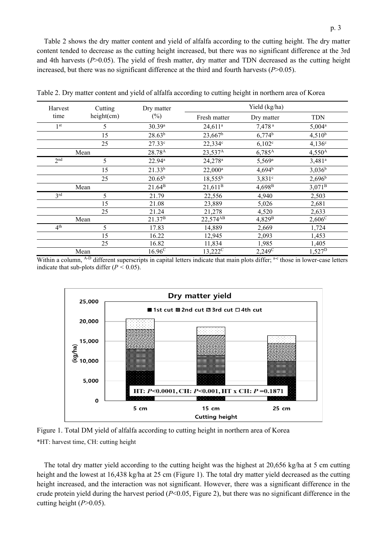Table 2 shows the dry matter content and yield of alfalfa according to the cutting height. The dry matter content tended to decrease as the cutting height increased, but there was no significant difference at the 3rd and 4th harvests (*P*>0.05). The yield of fresh matter, dry matter and TDN decreased as the cutting height increased, but there was no significant difference at the third and fourth harvests (*P*>0.05).

| Harvest         | Cutting    | Dry matter                  | Yield (kg/ha)         |                      |                      |  |
|-----------------|------------|-----------------------------|-----------------------|----------------------|----------------------|--|
| time            | height(cm) | $(\%)$                      | Fresh matter          | Dry matter           | <b>TDN</b>           |  |
| 1 <sup>st</sup> | 5          | 30.39a                      | $24,611^a$            | 7,478 <sup>a</sup>   | $5,004^a$            |  |
|                 | 15         | $28.63^{b}$                 | $23,667$ <sup>b</sup> | $6,774$ <sup>b</sup> | $4,510^{b}$          |  |
|                 | 25         | $27.33^{\circ}$             | 22,334c               | $6,102^{\circ}$      | $4,136^{\circ}$      |  |
|                 | Mean       |                             | 23,537 <sup>A</sup>   | $6,785^{\rm A}$      | $4,550^{\rm A}$      |  |
| 2 <sup>nd</sup> | 5          | $22.94^a$                   | 24,278 <sup>a</sup>   | $5,569^{\rm a}$      | $3,481$ <sup>a</sup> |  |
|                 | 15         | $21.33^{b}$                 | $22,000^a$            | $4,694^{\rm b}$      | $3,036^b$            |  |
|                 | 25         | $20.65^{\rm b}$             | $18,555^{\rm b}$      | $3,831^{\circ}$      | $2,696^{\rm b}$      |  |
| Mean            |            | 21.64 <sup>B</sup>          | 21,611 <sup>B</sup>   | $4,698^{\rm B}$      | $3,071^{\rm B}$      |  |
| 3 <sup>rd</sup> | 5          | 21.79                       | 22,556                | 4,940                | 2,503                |  |
|                 | 15         | 21.08                       | 23,889                | 5,026                | 2,681                |  |
|                 | 25         | 21.24<br>21.37 <sup>B</sup> | 21,278                | 4,520                | 2,633                |  |
|                 | Mean       |                             | 22,574 <sup>AB</sup>  | 4,829 <sup>B</sup>   | $2,606^{\circ}$      |  |
| 4 <sup>th</sup> | 5          | 17.83                       | 14,889                | 2,669                | 1,724                |  |
|                 | 15         | 16.22                       | 12,945                | 2,093                | 1,453                |  |
|                 | 25         | 16.82                       | 11,834                | 1,985                | 1,405                |  |
| Mean            |            | $16.96^{\circ}$             | 13,222 <sup>C</sup>   | $2,249^{\circ}$      | $1,527^{D}$          |  |

Table 2. Dry matter content and yield of alfalfa according to cutting height in northern area of Korea

Within a column, <sup>A-D</sup> different superscripts in capital letters indicate that main plots differ; <sup>a-c</sup> those in lower-case letters indicate that sub-plots differ (*P <* 0.05).



Figure 1. Total DM yield of alfalfa according to cutting height in northern area of Korea \*HT: harvest time, CH: cutting height

The total dry matter yield according to the cutting height was the highest at 20,656 kg/ha at 5 cm cutting height and the lowest at 16,438 kg/ha at 25 cm (Figure 1). The total dry matter yield decreased as the cutting height increased, and the interaction was not significant. However, there was a significant difference in the crude protein yield during the harvest period (*P*<0.05, Figure 2), but there was no significant difference in the cutting height (*P*>0.05).